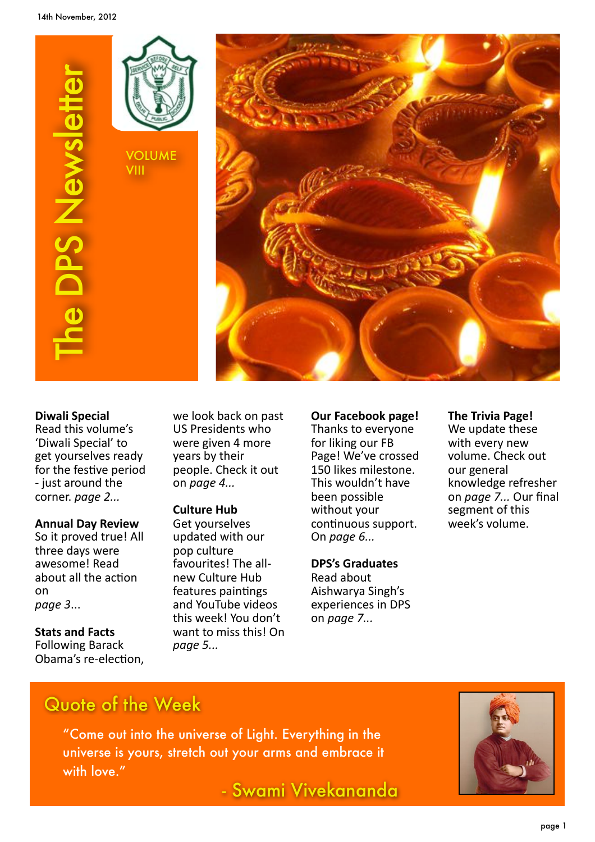





#### **Diwali&Special**

Read this volume's 'Diwali Special' to get yourselves ready for the festive period - just around the corner. page 2...

#### **Annual Day Review**

So it proved true! All three days were awesome! Read about all the action on *page%3*...

**Stats and Facts** Following Barack Obama's re-election, we look back on past US Presidents who were given 4 more years by their people. Check it out on *page 4...* 

#### **Culture Hub**

Get yourselves updated with our pop culture favourites! The allnew Culture Hub features paintings and YouTube videos this week! You don't want to miss this! On *page%5...*

**Our Facebook page!** Thanks to everyone for liking our FB Page! We've crossed 150 likes milestone. This wouldn't have been possible without your continuous support. On%*page%6...*

#### **DPS's Graduates**

Read about Aishwarya Singh's experiences in DPS on *page 7...* 

#### **The Trivia Page!**

We update these with every new volume. Check out our general knowledge refresher on *page 7...* Our final segment of this week's volume.

## Quote of the Week

"Come out into the universe of Light. Everything in the universe is yours, stretch out your arms and embrace it with love."

- Swami Vivekananda

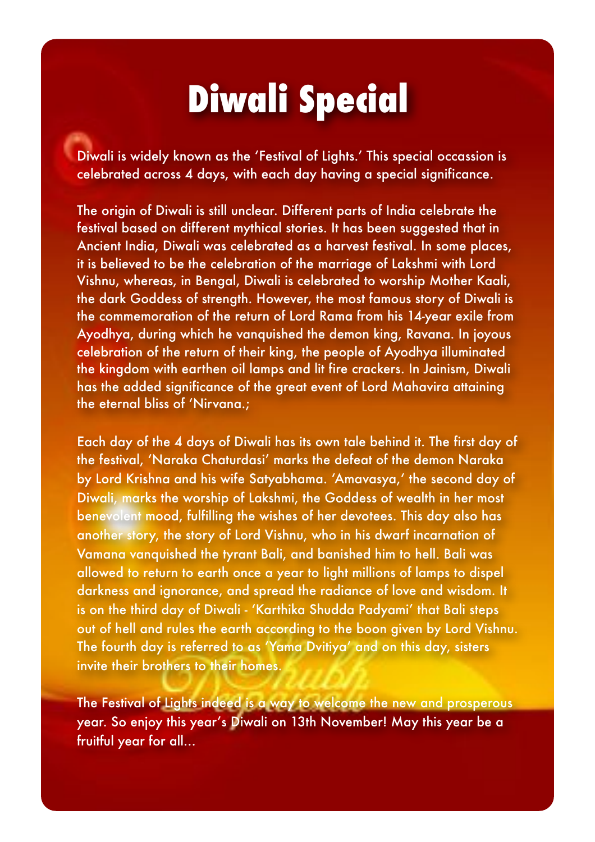## **Diwali Special**

Diwali is widely known as the 'Festival of Lights.' This special occassion is celebrated across 4 days, with each day having a special significance.

The origin of Diwali is still unclear. Different parts of India celebrate the festival based on different mythical stories. It has been suggested that in Ancient India, Diwali was celebrated as a harvest festival. In some places, it is believed to be the celebration of the marriage of Lakshmi with Lord Vishnu, whereas, in Bengal, Diwali is celebrated to worship Mother Kaali, the dark Goddess of strength. However, the most famous story of Diwali is the commemoration of the return of Lord Rama from his 14-year exile from Ayodhya, during which he vanquished the demon king, Ravana. In joyous celebration of the return of their king, the people of Ayodhya illuminated the kingdom with earthen oil lamps and lit fire crackers. In Jainism, Diwali has the added significance of the great event of Lord Mahavira attaining the eternal bliss of 'Nirvana.;

Each day of the 4 days of Diwali has its own tale behind it. The first day of the festival, 'Naraka Chaturdasi' marks the defeat of the demon Naraka by Lord Krishna and his wife Satyabhama. 'Amavasya,' the second day of Diwali, marks the worship of Lakshmi, the Goddess of wealth in her most benevolent mood, fulfilling the wishes of her devotees. This day also has another story, the story of Lord Vishnu, who in his dwarf incarnation of Vamana vanquished the tyrant Bali, and banished him to hell. Bali was allowed to return to earth once a year to light millions of lamps to dispel darkness and ignorance, and spread the radiance of love and wisdom. It is on the third day of Diwali - 'Karthika Shudda Padyami' that Bali steps out of hell and rules the earth according to the boon given by Lord Vishnu. The fourth day is referred to as 'Yama Dvitiya' and on this day, sisters invite their brothers to their homes.

The Festival of Lights indeed is a way to welcome the new and prosperous year. So enjoy this year's Diwali on 13th November! May this year be a fruitful year for all...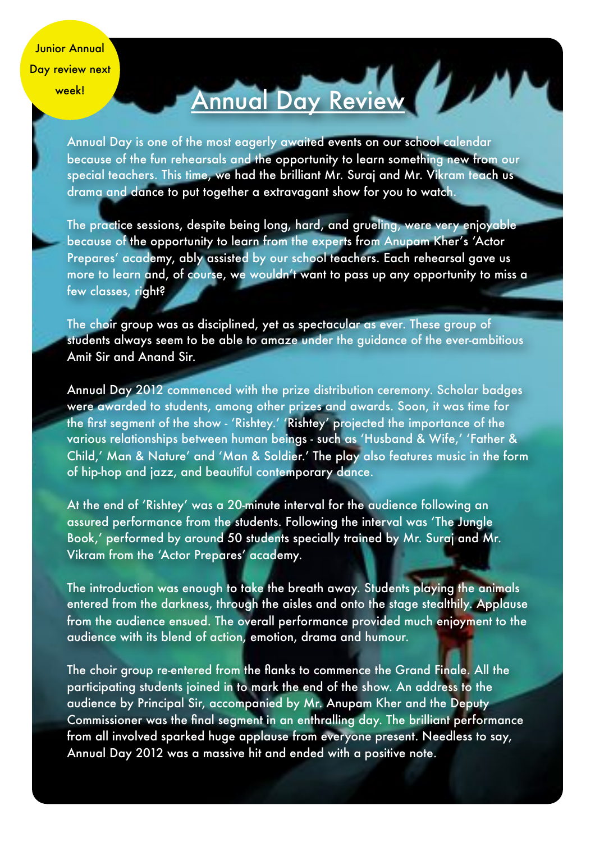Junior Annual Day review next week!

# Annual Day Review

Annual Day is one of the most eagerly awaited events on our school calendar because of the fun rehearsals and the opportunity to learn something new from our special teachers. This time, we had the brilliant Mr. Suraj and Mr. Vikram teach us drama and dance to put together a extravagant show for you to watch.

The practice sessions, despite being long, hard, and grueling, were very enjoyable because of the opportunity to learn from the experts from Anupam Kher's 'Actor Prepares' academy, ably assisted by our school teachers. Each rehearsal gave us more to learn and, of course, we wouldn't want to pass up any opportunity to miss a few classes, right?

The choir group was as disciplined, yet as spectacular as ever. These group of students always seem to be able to amaze under the guidance of the ever-ambitious Amit Sir and Anand Sir.

Annual Day 2012 commenced with the prize distribution ceremony. Scholar badges were awarded to students, among other prizes and awards. Soon, it was time for the first segment of the show - 'Rishtey.' 'Rishtey' projected the importance of the various relationships between human beings - such as 'Husband & Wife,' 'Father & Child,' Man & Nature' and 'Man & Soldier.' The play also features music in the form of hip-hop and jazz, and beautiful contemporary dance.

At the end of 'Rishtey' was a 20-minute interval for the audience following an assured performance from the students. Following the interval was 'The Jungle Book,' performed by around 50 students specially trained by Mr. Suraj and Mr. Vikram from the 'Actor Prepares' academy.

The introduction was enough to take the breath away. Students playing the animals entered from the darkness, through the aisles and onto the stage stealthily. Applause from the audience ensued. The overall performance provided much enjoyment to the audience with its blend of action, emotion, drama and humour.

The choir group re-entered from the flanks to commence the Grand Finale. All the participating students joined in to mark the end of the show. An address to the audience by Principal Sir, accompanied by Mr. Anupam Kher and the Deputy Commissioner was the final segment in an enthralling day. The brilliant performance from all involved sparked huge applause from everyone present. Needless to say, Annual Day 2012 was a massive hit and ended with a positive note.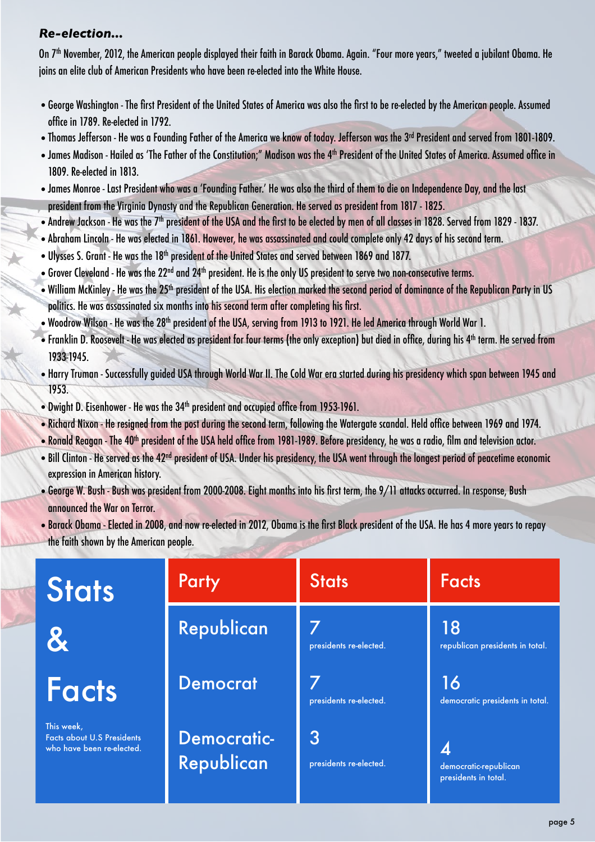#### *Re-election...*

On 7<sup>th</sup> November, 2012, the American people displayed their faith in Barack Obama. Again. "Four more years," tweeted a jubilant Obama. He joins an elite club of American Presidents who have been re-elected into the White House.

- •George Washington The first President of the United States of America was also the first to be re-elected by the American people. Assumed office in 1789. Re-elected in 1792.
- Thomas Jefferson He was a Founding Father of the America we know of today. Jefferson was the 3<sup>rd</sup> President and served from 1801-1809.
- •James Madison Hailed as 'The Father of the Constitution;" Madison was the 4th President of the United States of America. Assumed office in 1809. Re-elected in 1813.
- •James Monroe Last President who was a 'Founding Father.' He was also the third of them to die on Independence Day, and the last president from the Virginia Dynasty and the Republican Generation. He served as president from 1817 - 1825.
- •Andrew Jackson He was the 7th president of the USA and the first to be elected by men of all classes in 1828. Served from 1829 1837.
- •Abraham Lincoln He was elected in 1861. However, he was assassinated and could complete only 42 days of his second term.
- Ulysses S. Grant He was the 18<sup>th</sup> president of the United States and served between 1869 and 1877.
- •Grover Cleveland He was the 22nd and 24th president. He is the only US president to serve two non-consecutive terms.
- William McKinley He was the 25<sup>th</sup> president of the USA. His election marked the second period of dominance of the Republican Party in US politics. He was assassinated six months into his second term after completing his first.
- Woodrow Wilson He was the 28<sup>th</sup> president of the USA, serving from 1913 to 1921. He led America through World War 1.
- Franklin D. Roosevelt He was elected as president for four terms (the only exception) but died in office, during his 4<sup>th</sup> term. He served from 1933-1945.
- •Harry Truman Successfully guided USA through World War II. The Cold War era started during his presidency which span between 1945 and 1953.
- Dwight D. Eisenhower He was the 34<sup>th</sup> president and occupied office from 1953-1961.
- •Richard Nixon He resigned from the post during the second term, following the Watergate scandal. Held office between 1969 and 1974.
- Ronald Reagan The 40<sup>th</sup> president of the USA held office from 1981-1989. Before presidency, he was a radio, film and television actor.
- Bill Clinton He served as the 42<sup>nd</sup> president of USA. Under his presidency, the USA went through the longest period of peacetime economic expression in American history.
- •George W. Bush Bush was president from 2000-2008. Eight months into his first term, the 9/11 attacks occurred. In response, Bush announced the War on Terror.
- •Barack Obama Elected in 2008, and now re-elected in 2012, Obama is the first Black president of the USA. He has 4 more years to repay the faith shown by the American people.

| <b>Stats</b>                                                                 | Party                            | <b>Stats</b>                | <b>Facts</b>                                  |
|------------------------------------------------------------------------------|----------------------------------|-----------------------------|-----------------------------------------------|
| $\mathbf{\mathbf{\hat{z}}}$                                                  | Republican                       | presidents re-elected.      | 18<br>republican presidents in total.         |
| <b>Facts</b>                                                                 | <b>Democrat</b>                  | presidents re-elected.      | 16<br>democratic presidents in total.         |
| This week,<br><b>Facts about U.S Presidents</b><br>who have been re-elected. | <b>Democratic-</b><br>Republican | 3<br>presidents re-elected. | democratic-republican<br>presidents in total. |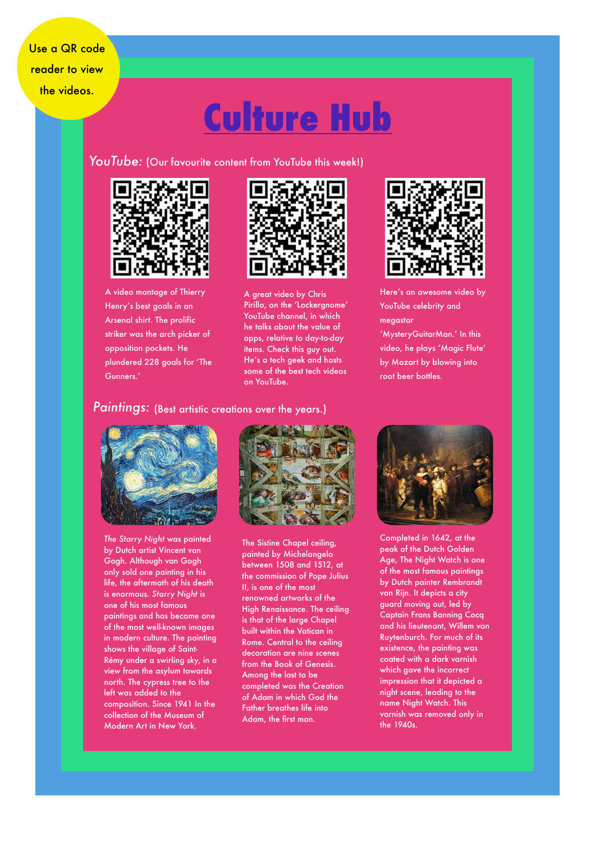$T_{\rm{max}}$ the videos. Use a QR code reader to view

## **Culture Hub**

YouTube: (Our favourite content from YouTube this week!)



A video montage of Thierry Henry's best goals in an Arsenal shirt. The prolific striker was the arch picker of opposition pockets. He plundered 228 goals for 'The Gunners.'



A great video by Chris Pirillo, on the 'Lockergnome' YouTube channel, in which he talks about the value of apps, relative to day-to-day items. Check this guy out. He's a tech geek and hosts some of the best tech videos on YouTube.



Here's an awesome video by YouTube celebrity and megastar 'MysteryGuitarMan.' In this

video, he plays 'Magic Flute' by Mozart by blowing into root beer bottles.

#### *Paintings:* (Best artistic creations over the years.)



*The Starry Night* was painted by Dutch artist Vincent van Gogh. Although van Gogh only sold one painting in his life, the aftermath of his death is enormous. *Starry Night* is one of his most famous paintings and has become one of the most well-known images in modern culture. The painting shows the village of Saint-Rémy under a swirling sky, in a view from the asylum towards north. The cypress tree to the left was added to the composition. Since 1941 In the collection of the Museum of Modern Art in New York.



The Sistine Chapel ceiling, painted by Michelangelo between 1508 and 1512, at the commission of Pope Julius II, is one of the most renowned artworks of the High Renaissance. The ceiling is that of the large Chapel built within the Vatican in Rome. Central to the ceiling decoration are nine scenes from the Book of Genesis. Among the last to be completed was the Creation of Adam in which God the Father breathes life into Adam, the first man.



Completed in 1642, at the peak of the Dutch Golden Age, The Night Watch is one of the most famous paintings by Dutch painter Rembrandt van Rijn. It depicts a city guard moving out, led by Captain Frans Banning Cocq and his lieutenant, Willem van Ruytenburch. For much of its existence, the painting was coated with a dark varnish which gave the incorrect impression that it depicted a night scene, leading to the name Night Watch. This varnish was removed only in the 1940s.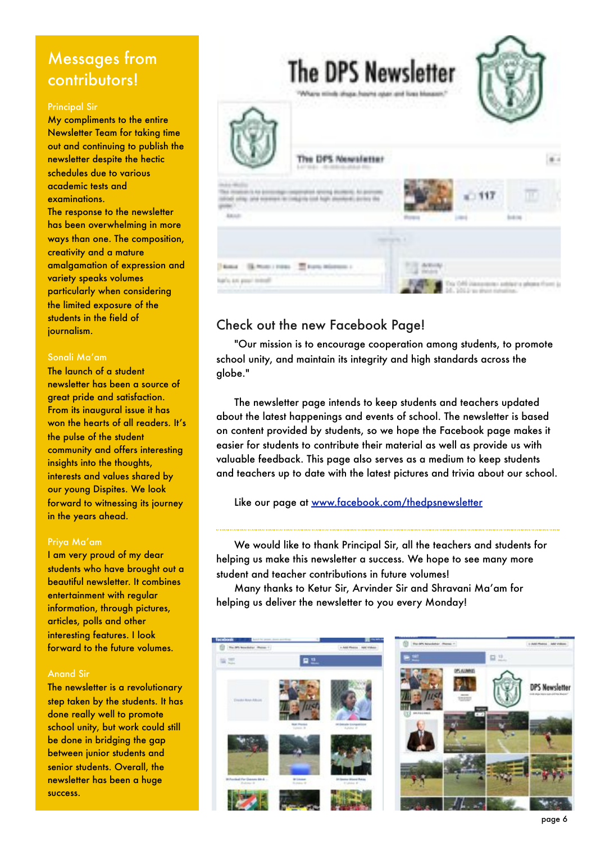### Messages from contributors!

#### Principal Sir

My compliments to the entire Newsletter Team for taking time out and continuing to publish the newsletter despite the hectic schedules due to various academic tests and examinations.

The response to the newsletter has been overwhelming in more ways than one. The composition, creativity and a mature amalgamation of expression and variety speaks volumes particularly when considering the limited exposure of the students in the field of journalism.

#### Sonali Ma'am

The launch of a student newsletter has been a source of great pride and satisfaction. From its inaugural issue it has won the hearts of all readers. It's the pulse of the student community and offers interesting insights into the thoughts, interests and values shared by our young Dispites. We look forward to witnessing its journey in the years ahead.

#### Priya Ma'am

I am very proud of my dear students who have brought out a beautiful newsletter. It combines entertainment with regular information, through pictures, articles, polls and other interesting features. I look forward to the future volumes.

#### Anand Sir

The newsletter is a revolutionary step taken by the students. It has done really well to promote school unity, but work could still be done in bridging the gap between junior students and senior students. Overall, the newsletter has been a huge success.



### Check out the new Facebook Page!

"Our mission is to encourage cooperation among students, to promote school unity, and maintain its integrity and high standards across the globe."

The newsletter page intends to keep students and teachers updated about the latest happenings and events of school. The newsletter is based on content provided by students, so we hope the Facebook page makes it easier for students to contribute their material as well as provide us with valuable feedback. This page also serves as a medium to keep students and teachers up to date with the latest pictures and trivia about our school.

Like our page at [www.facebook.com/thedpsnewsletter](http://www.facebook.com/thedpsnewsletter)

We would like to thank Principal Sir, all the teachers and students for helping us make this newsletter a success. We hope to see many more student and teacher contributions in future volumes!

Many thanks to Ketur Sir, Arvinder Sir and Shravani Ma'am for helping us deliver the newsletter to you every Monday!